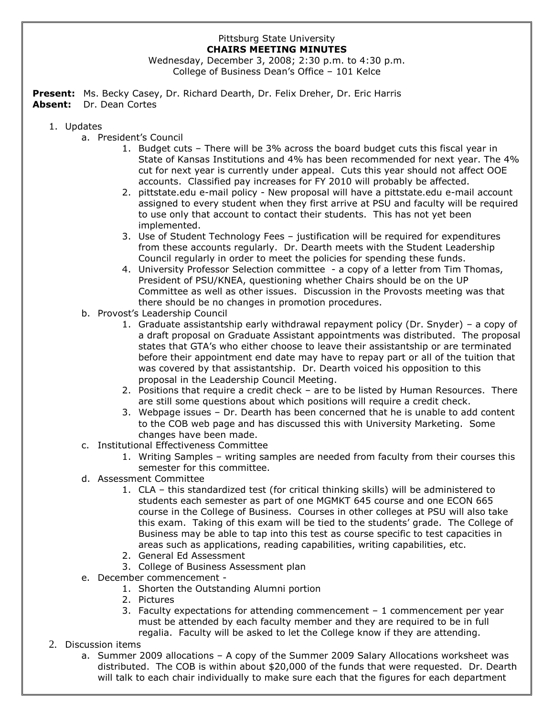## Pittsburg State University **CHAIRS MEETING MINUTES**

Wednesday, December 3, 2008; 2:30 p.m. to 4:30 p.m. College of Business Dean's Office – 101 Kelce

**Present:** Ms. Becky Casey, Dr. Richard Dearth, Dr. Felix Dreher, Dr. Eric Harris **Absent:** Dr. Dean Cortes

## 1. Updates

- a. President's Council
	- 1. Budget cuts There will be 3% across the board budget cuts this fiscal year in State of Kansas Institutions and 4% has been recommended for next year. The 4% cut for next year is currently under appeal. Cuts this year should not affect OOE accounts. Classified pay increases for FY 2010 will probably be affected.
	- 2. pittstate.edu e-mail policy New proposal will have a pittstate.edu e-mail account assigned to every student when they first arrive at PSU and faculty will be required to use only that account to contact their students. This has not yet been implemented.
	- 3. Use of Student Technology Fees justification will be required for expenditures from these accounts regularly. Dr. Dearth meets with the Student Leadership Council regularly in order to meet the policies for spending these funds.
	- 4. University Professor Selection committee a copy of a letter from Tim Thomas, President of PSU/KNEA, questioning whether Chairs should be on the UP Committee as well as other issues. Discussion in the Provosts meeting was that there should be no changes in promotion procedures.
- b. Provost's Leadership Council
	- 1. Graduate assistantship early withdrawal repayment policy (Dr. Snyder) a copy of a draft proposal on Graduate Assistant appointments was distributed. The proposal states that GTA's who either choose to leave their assistantship or are terminated before their appointment end date may have to repay part or all of the tuition that was covered by that assistantship. Dr. Dearth voiced his opposition to this proposal in the Leadership Council Meeting.
	- 2. Positions that require a credit check are to be listed by Human Resources. There are still some questions about which positions will require a credit check.
	- 3. Webpage issues Dr. Dearth has been concerned that he is unable to add content to the COB web page and has discussed this with University Marketing. Some changes have been made.
- c. Institutional Effectiveness Committee
	- 1. Writing Samples writing samples are needed from faculty from their courses this semester for this committee.
- d. Assessment Committee
	- 1. CLA this standardized test (for critical thinking skills) will be administered to students each semester as part of one MGMKT 645 course and one ECON 665 course in the College of Business. Courses in other colleges at PSU will also take this exam. Taking of this exam will be tied to the students' grade. The College of Business may be able to tap into this test as course specific to test capacities in areas such as applications, reading capabilities, writing capabilities, etc.
	- 2. General Ed Assessment
	- 3. College of Business Assessment plan
- e. December commencement
	- 1. Shorten the Outstanding Alumni portion
	- 2. Pictures
	- 3. Faculty expectations for attending commencement 1 commencement per year must be attended by each faculty member and they are required to be in full regalia. Faculty will be asked to let the College know if they are attending.
- 2. Discussion items
	- a. Summer 2009 allocations A copy of the Summer 2009 Salary Allocations worksheet was distributed. The COB is within about \$20,000 of the funds that were requested. Dr. Dearth will talk to each chair individually to make sure each that the figures for each department